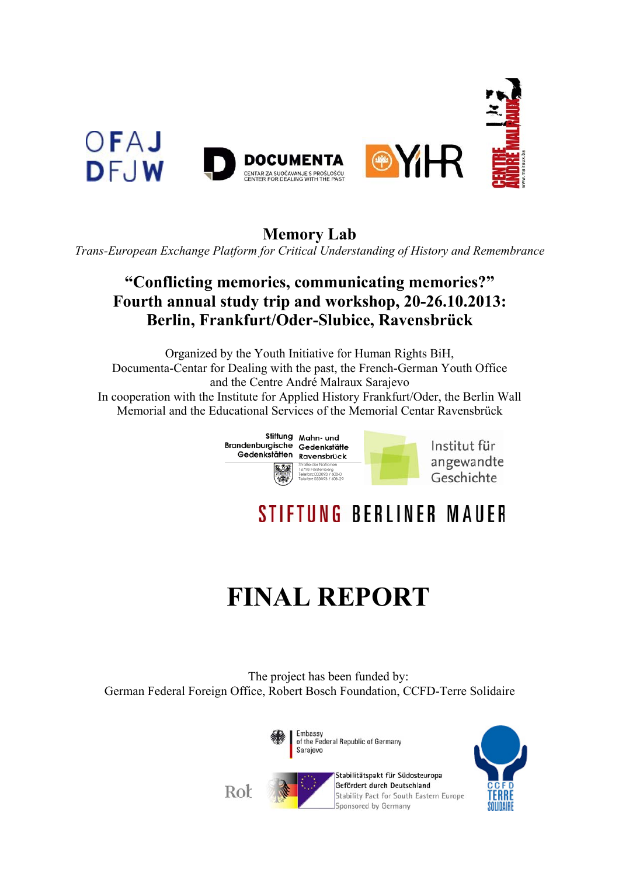

**Memory Lab** 

*Trans-European Exchange Platform for Critical Understanding of History and Remembrance* 

## **"Conflicting memories, communicating memories?" Fourth annual study trip and workshop, 20-26.10.2013: Berlin, Frankfurt/Oder-Slubice, Ravensbrück**

Organized by the Youth Initiative for Human Rights BiH, Documenta-Centar for Dealing with the past, the French-German Youth Office and the Centre André Malraux Sarajevo In cooperation with the Institute for Applied History Frankfurt/Oder, the Berlin Wall Memorial and the Educational Services of the Memorial Centar Ravensbrück



# **STIFTUNG BERLINER MAUER**

# **FINAL REPORT**

The project has been funded by: German Federal Foreign Office, Robert Bosch Foundation, CCFD-Terre Solidaire



Stabilitätspakt für Südosteuropa Gefördert durch Deutschland Stability Pact for South Eastern Europe Sponsored by Germany



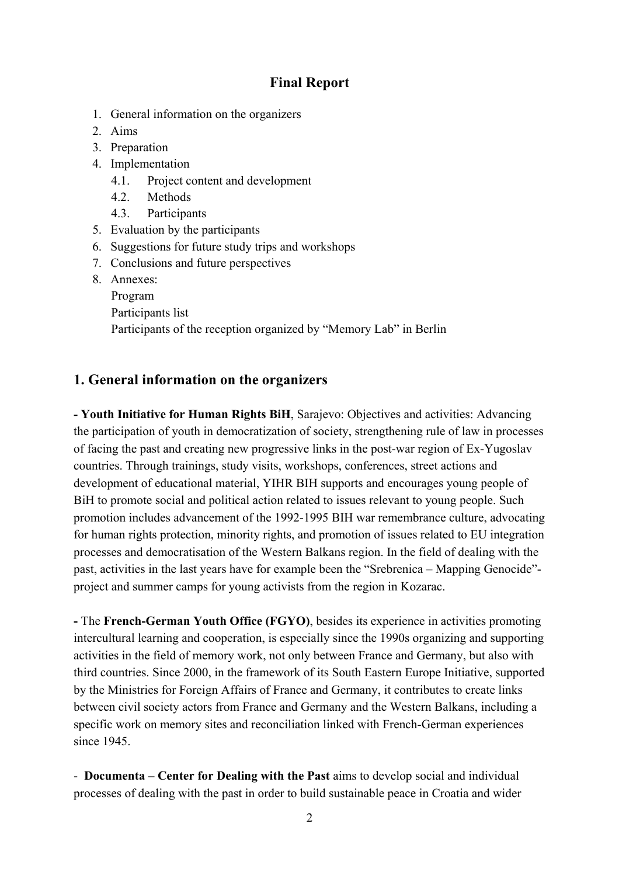### **Final Report**

- 1. General information on the organizers
- 2. Aims
- 3. Preparation
- 4. Implementation
	- 4.1. Project content and development
	- 4.2. Methods
	- 4.3. Participants
- 5. Evaluation by the participants
- 6. Suggestions for future study trips and workshops
- 7. Conclusions and future perspectives
- 8. Annexes:
	- Program
	- Participants list
	- Participants of the reception organized by "Memory Lab" in Berlin

#### **1. General information on the organizers**

**- Youth Initiative for Human Rights BiH**, Sarajevo: Objectives and activities: Advancing the participation of youth in democratization of society, strengthening rule of law in processes of facing the past and creating new progressive links in the post-war region of Ex-Yugoslav countries. Through trainings, study visits, workshops, conferences, street actions and development of educational material, YIHR BIH supports and encourages young people of BiH to promote social and political action related to issues relevant to young people. Such promotion includes advancement of the 1992-1995 BIH war remembrance culture, advocating for human rights protection, minority rights, and promotion of issues related to EU integration processes and democratisation of the Western Balkans region. In the field of dealing with the past, activities in the last years have for example been the "Srebrenica – Mapping Genocide" project and summer camps for young activists from the region in Kozarac.

**-** The **French-German Youth Office (FGYO)**, besides its experience in activities promoting intercultural learning and cooperation, is especially since the 1990s organizing and supporting activities in the field of memory work, not only between France and Germany, but also with third countries. Since 2000, in the framework of its South Eastern Europe Initiative, supported by the Ministries for Foreign Affairs of France and Germany, it contributes to create links between civil society actors from France and Germany and the Western Balkans, including a specific work on memory sites and reconciliation linked with French-German experiences since 1945.

- **Documenta – Center for Dealing with the Past** aims to develop social and individual processes of dealing with the past in order to build sustainable peace in Croatia and wider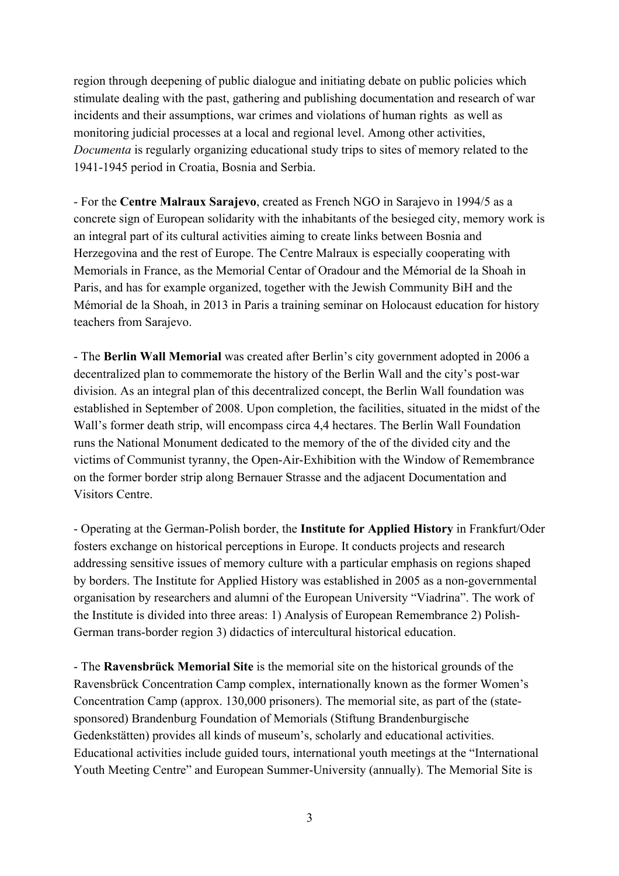region through deepening of public dialogue and initiating debate on public policies which stimulate dealing with the past, gathering and publishing documentation and research of war incidents and their assumptions, war crimes and violations of human rights as well as monitoring judicial processes at a local and regional level. Among other activities, *Documenta* is regularly organizing educational study trips to sites of memory related to the 1941-1945 period in Croatia, Bosnia and Serbia.

- For the **Centre Malraux Sarajevo**, created as French NGO in Sarajevo in 1994/5 as a concrete sign of European solidarity with the inhabitants of the besieged city, memory work is an integral part of its cultural activities aiming to create links between Bosnia and Herzegovina and the rest of Europe. The Centre Malraux is especially cooperating with Memorials in France, as the Memorial Centar of Oradour and the Mémorial de la Shoah in Paris, and has for example organized, together with the Jewish Community BiH and the Mémorial de la Shoah, in 2013 in Paris a training seminar on Holocaust education for history teachers from Sarajevo.

- The **Berlin Wall Memorial** was created after Berlin's city government adopted in 2006 a decentralized plan to commemorate the history of the Berlin Wall and the city's post-war division. As an integral plan of this decentralized concept, the Berlin Wall foundation was established in September of 2008. Upon completion, the facilities, situated in the midst of the Wall's former death strip, will encompass circa 4,4 hectares. The Berlin Wall Foundation runs the National Monument dedicated to the memory of the of the divided city and the victims of Communist tyranny, the Open-Air-Exhibition with the Window of Remembrance on the former border strip along Bernauer Strasse and the adjacent Documentation and Visitors Centre.

- Operating at the German-Polish border, the **Institute for Applied History** in Frankfurt/Oder fosters exchange on historical perceptions in Europe. It conducts projects and research addressing sensitive issues of memory culture with a particular emphasis on regions shaped by borders. The Institute for Applied History was established in 2005 as a non-governmental organisation by researchers and alumni of the European University "Viadrina". The work of the Institute is divided into three areas: 1) Analysis of European Remembrance 2) Polish-German trans-border region 3) didactics of intercultural historical education.

- The **Ravensbrück Memorial Site** is the memorial site on the historical grounds of the Ravensbrück Concentration Camp complex, internationally known as the former Women's Concentration Camp (approx. 130,000 prisoners). The memorial site, as part of the (statesponsored) Brandenburg Foundation of Memorials (Stiftung Brandenburgische Gedenkstätten) provides all kinds of museum's, scholarly and educational activities. Educational activities include guided tours, international youth meetings at the "International Youth Meeting Centre" and European Summer-University (annually). The Memorial Site is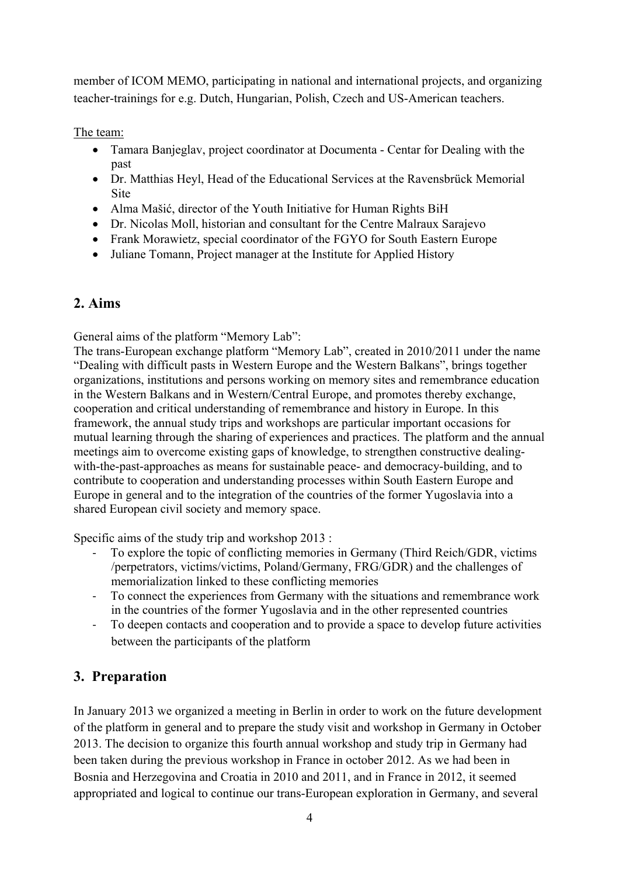member of ICOM MEMO, participating in national and international projects, and organizing teacher-trainings for e.g. Dutch, Hungarian, Polish, Czech and US-American teachers.

The team:

- Tamara Banjeglav, project coordinator at Documenta Centar for Dealing with the past
- Dr. Matthias Heyl, Head of the Educational Services at the Ravensbrück Memorial **Site**
- Alma Mašić, director of the Youth Initiative for Human Rights BiH
- Dr. Nicolas Moll, historian and consultant for the Centre Malraux Sarajevo
- Frank Morawietz, special coordinator of the FGYO for South Eastern Europe
- Juliane Tomann, Project manager at the Institute for Applied History

## **2. Aims**

General aims of the platform "Memory Lab":

The trans-European exchange platform "Memory Lab", created in 2010/2011 under the name "Dealing with difficult pasts in Western Europe and the Western Balkans", brings together organizations, institutions and persons working on memory sites and remembrance education in the Western Balkans and in Western/Central Europe, and promotes thereby exchange, cooperation and critical understanding of remembrance and history in Europe. In this framework, the annual study trips and workshops are particular important occasions for mutual learning through the sharing of experiences and practices. The platform and the annual meetings aim to overcome existing gaps of knowledge, to strengthen constructive dealingwith-the-past-approaches as means for sustainable peace- and democracy-building, and to contribute to cooperation and understanding processes within South Eastern Europe and Europe in general and to the integration of the countries of the former Yugoslavia into a shared European civil society and memory space.

Specific aims of the study trip and workshop 2013 :

- ‐ To explore the topic of conflicting memories in Germany (Third Reich/GDR, victims /perpetrators, victims/victims, Poland/Germany, FRG/GDR) and the challenges of memorialization linked to these conflicting memories
- ‐ To connect the experiences from Germany with the situations and remembrance work in the countries of the former Yugoslavia and in the other represented countries
- ‐ To deepen contacts and cooperation and to provide a space to develop future activities between the participants of the platform

## **3. Preparation**

In January 2013 we organized a meeting in Berlin in order to work on the future development of the platform in general and to prepare the study visit and workshop in Germany in October 2013. The decision to organize this fourth annual workshop and study trip in Germany had been taken during the previous workshop in France in october 2012. As we had been in Bosnia and Herzegovina and Croatia in 2010 and 2011, and in France in 2012, it seemed appropriated and logical to continue our trans-European exploration in Germany, and several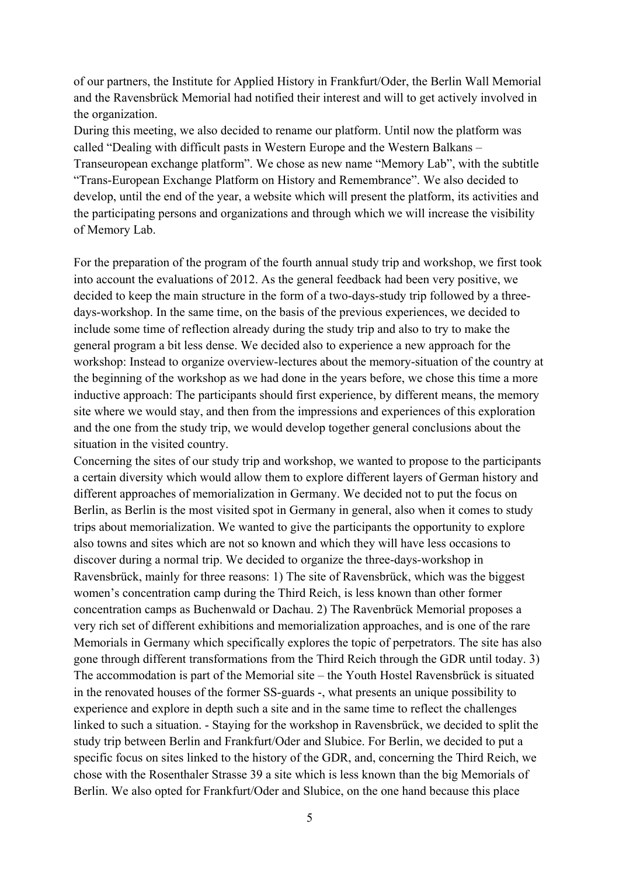of our partners, the Institute for Applied History in Frankfurt/Oder, the Berlin Wall Memorial and the Ravensbrück Memorial had notified their interest and will to get actively involved in the organization.

During this meeting, we also decided to rename our platform. Until now the platform was called "Dealing with difficult pasts in Western Europe and the Western Balkans – Transeuropean exchange platform". We chose as new name "Memory Lab", with the subtitle "Trans-European Exchange Platform on History and Remembrance". We also decided to develop, until the end of the year, a website which will present the platform, its activities and the participating persons and organizations and through which we will increase the visibility of Memory Lab.

For the preparation of the program of the fourth annual study trip and workshop, we first took into account the evaluations of 2012. As the general feedback had been very positive, we decided to keep the main structure in the form of a two-days-study trip followed by a threedays-workshop. In the same time, on the basis of the previous experiences, we decided to include some time of reflection already during the study trip and also to try to make the general program a bit less dense. We decided also to experience a new approach for the workshop: Instead to organize overview-lectures about the memory-situation of the country at the beginning of the workshop as we had done in the years before, we chose this time a more inductive approach: The participants should first experience, by different means, the memory site where we would stay, and then from the impressions and experiences of this exploration and the one from the study trip, we would develop together general conclusions about the situation in the visited country.

Concerning the sites of our study trip and workshop, we wanted to propose to the participants a certain diversity which would allow them to explore different layers of German history and different approaches of memorialization in Germany. We decided not to put the focus on Berlin, as Berlin is the most visited spot in Germany in general, also when it comes to study trips about memorialization. We wanted to give the participants the opportunity to explore also towns and sites which are not so known and which they will have less occasions to discover during a normal trip. We decided to organize the three-days-workshop in Ravensbrück, mainly for three reasons: 1) The site of Ravensbrück, which was the biggest women's concentration camp during the Third Reich, is less known than other former concentration camps as Buchenwald or Dachau. 2) The Ravenbrück Memorial proposes a very rich set of different exhibitions and memorialization approaches, and is one of the rare Memorials in Germany which specifically explores the topic of perpetrators. The site has also gone through different transformations from the Third Reich through the GDR until today. 3) The accommodation is part of the Memorial site – the Youth Hostel Ravensbrück is situated in the renovated houses of the former SS-guards -, what presents an unique possibility to experience and explore in depth such a site and in the same time to reflect the challenges linked to such a situation. - Staying for the workshop in Ravensbrück, we decided to split the study trip between Berlin and Frankfurt/Oder and Slubice. For Berlin, we decided to put a specific focus on sites linked to the history of the GDR, and, concerning the Third Reich, we chose with the Rosenthaler Strasse 39 a site which is less known than the big Memorials of Berlin. We also opted for Frankfurt/Oder and Slubice, on the one hand because this place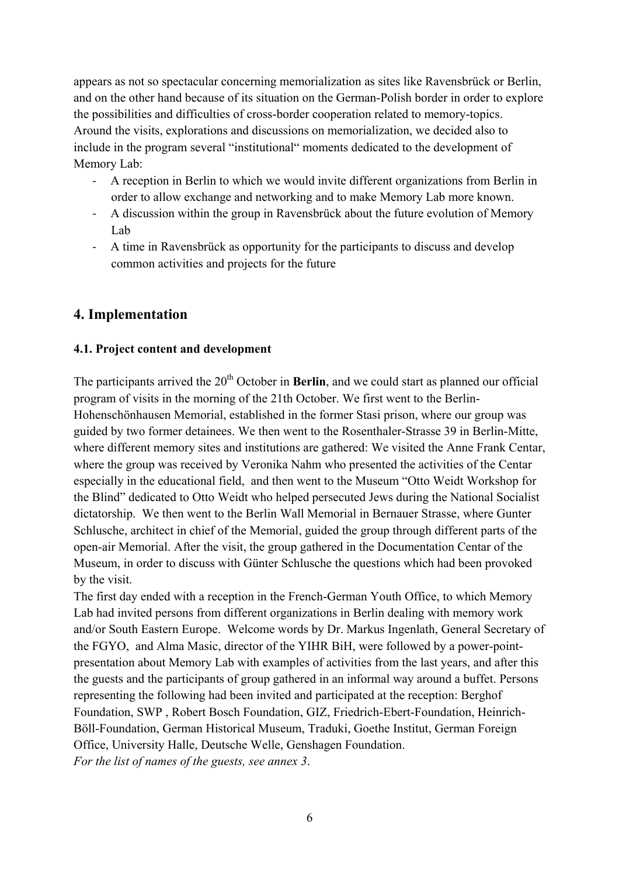appears as not so spectacular concerning memorialization as sites like Ravensbrück or Berlin, and on the other hand because of its situation on the German-Polish border in order to explore the possibilities and difficulties of cross-border cooperation related to memory-topics. Around the visits, explorations and discussions on memorialization, we decided also to include in the program several "institutional" moments dedicated to the development of Memory Lab:

- ‐ A reception in Berlin to which we would invite different organizations from Berlin in order to allow exchange and networking and to make Memory Lab more known.
- ‐ A discussion within the group in Ravensbrück about the future evolution of Memory Lab
- ‐ A time in Ravensbrück as opportunity for the participants to discuss and develop common activities and projects for the future

## **4. Implementation**

#### **4.1. Project content and development**

The participants arrived the 20<sup>th</sup> October in **Berlin**, and we could start as planned our official program of visits in the morning of the 21th October. We first went to the Berlin-Hohenschönhausen Memorial, established in the former Stasi prison, where our group was guided by two former detainees. We then went to the Rosenthaler-Strasse 39 in Berlin-Mitte, where different memory sites and institutions are gathered: We visited the Anne Frank Centar, where the group was received by Veronika Nahm who presented the activities of the Centar especially in the educational field, and then went to the Museum "Otto Weidt Workshop for the Blind" dedicated to Otto Weidt who helped persecuted Jews during the National Socialist dictatorship. We then went to the Berlin Wall Memorial in Bernauer Strasse, where Gunter Schlusche, architect in chief of the Memorial, guided the group through different parts of the open-air Memorial. After the visit, the group gathered in the Documentation Centar of the Museum, in order to discuss with Günter Schlusche the questions which had been provoked by the visit.

The first day ended with a reception in the French-German Youth Office, to which Memory Lab had invited persons from different organizations in Berlin dealing with memory work and/or South Eastern Europe. Welcome words by Dr. Markus Ingenlath, General Secretary of the FGYO, and Alma Masic, director of the YIHR BiH, were followed by a power-pointpresentation about Memory Lab with examples of activities from the last years, and after this the guests and the participants of group gathered in an informal way around a buffet. Persons representing the following had been invited and participated at the reception: Berghof Foundation, SWP , Robert Bosch Foundation, GIZ, Friedrich-Ebert-Foundation, Heinrich-Böll-Foundation, German Historical Museum, Traduki, Goethe Institut, German Foreign Office, University Halle, Deutsche Welle, Genshagen Foundation. *For the list of names of the guests, see annex 3*.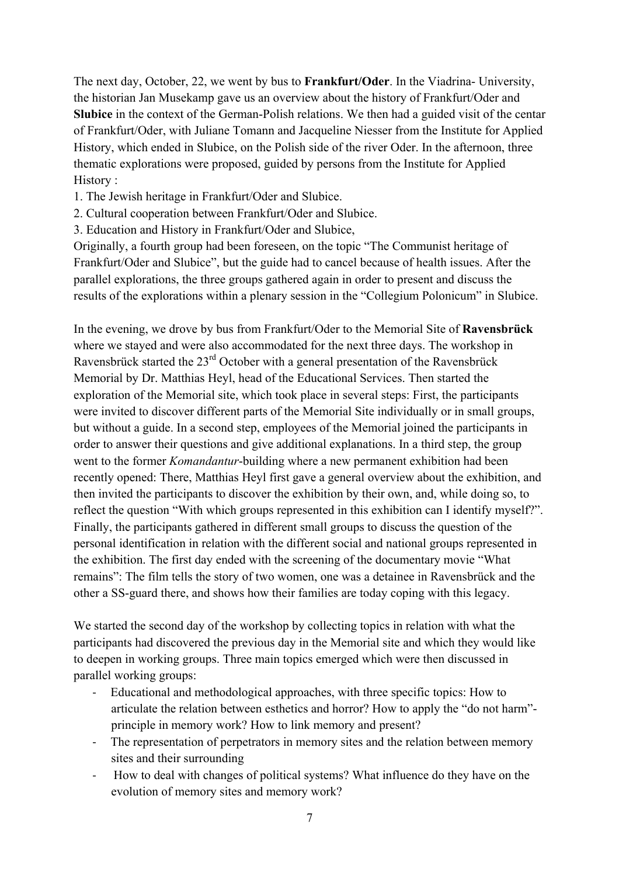The next day, October, 22, we went by bus to **Frankfurt/Oder**. In the Viadrina- University, the historian Jan Musekamp gave us an overview about the history of Frankfurt/Oder and **Slubice** in the context of the German-Polish relations. We then had a guided visit of the centar of Frankfurt/Oder, with Juliane Tomann and Jacqueline Niesser from the Institute for Applied History, which ended in Slubice, on the Polish side of the river Oder. In the afternoon, three thematic explorations were proposed, guided by persons from the Institute for Applied History :

- 1. The Jewish heritage in Frankfurt/Oder and Slubice.
- 2. Cultural cooperation between Frankfurt/Oder and Slubice.
- 3. Education and History in Frankfurt/Oder and Slubice,

Originally, a fourth group had been foreseen, on the topic "The Communist heritage of Frankfurt/Oder and Slubice", but the guide had to cancel because of health issues. After the parallel explorations, the three groups gathered again in order to present and discuss the results of the explorations within a plenary session in the "Collegium Polonicum" in Slubice.

In the evening, we drove by bus from Frankfurt/Oder to the Memorial Site of **Ravensbrück** where we stayed and were also accommodated for the next three days. The workshop in Ravensbrück started the 23<sup>rd</sup> October with a general presentation of the Ravensbrück Memorial by Dr. Matthias Heyl, head of the Educational Services. Then started the exploration of the Memorial site, which took place in several steps: First, the participants were invited to discover different parts of the Memorial Site individually or in small groups, but without a guide. In a second step, employees of the Memorial joined the participants in order to answer their questions and give additional explanations. In a third step, the group went to the former *Komandantur*-building where a new permanent exhibition had been recently opened: There, Matthias Heyl first gave a general overview about the exhibition, and then invited the participants to discover the exhibition by their own, and, while doing so, to reflect the question "With which groups represented in this exhibition can I identify myself?". Finally, the participants gathered in different small groups to discuss the question of the personal identification in relation with the different social and national groups represented in the exhibition. The first day ended with the screening of the documentary movie "What remains": The film tells the story of two women, one was a detainee in Ravensbrück and the other a SS-guard there, and shows how their families are today coping with this legacy.

We started the second day of the workshop by collecting topics in relation with what the participants had discovered the previous day in the Memorial site and which they would like to deepen in working groups. Three main topics emerged which were then discussed in parallel working groups:

- ‐ Educational and methodological approaches, with three specific topics: How to articulate the relation between esthetics and horror? How to apply the "do not harm" principle in memory work? How to link memory and present?
- ‐ The representation of perpetrators in memory sites and the relation between memory sites and their surrounding
- ‐ How to deal with changes of political systems? What influence do they have on the evolution of memory sites and memory work?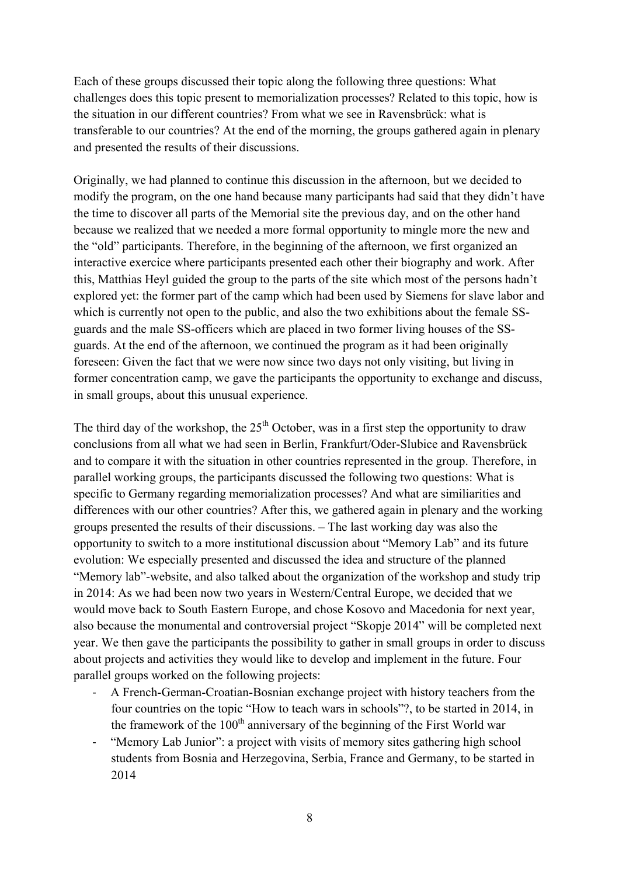Each of these groups discussed their topic along the following three questions: What challenges does this topic present to memorialization processes? Related to this topic, how is the situation in our different countries? From what we see in Ravensbrück: what is transferable to our countries? At the end of the morning, the groups gathered again in plenary and presented the results of their discussions.

Originally, we had planned to continue this discussion in the afternoon, but we decided to modify the program, on the one hand because many participants had said that they didn't have the time to discover all parts of the Memorial site the previous day, and on the other hand because we realized that we needed a more formal opportunity to mingle more the new and the "old" participants. Therefore, in the beginning of the afternoon, we first organized an interactive exercice where participants presented each other their biography and work. After this, Matthias Heyl guided the group to the parts of the site which most of the persons hadn't explored yet: the former part of the camp which had been used by Siemens for slave labor and which is currently not open to the public, and also the two exhibitions about the female SSguards and the male SS-officers which are placed in two former living houses of the SSguards. At the end of the afternoon, we continued the program as it had been originally foreseen: Given the fact that we were now since two days not only visiting, but living in former concentration camp, we gave the participants the opportunity to exchange and discuss, in small groups, about this unusual experience.

The third day of the workshop, the  $25<sup>th</sup>$  October, was in a first step the opportunity to draw conclusions from all what we had seen in Berlin, Frankfurt/Oder-Slubice and Ravensbrück and to compare it with the situation in other countries represented in the group. Therefore, in parallel working groups, the participants discussed the following two questions: What is specific to Germany regarding memorialization processes? And what are similiarities and differences with our other countries? After this, we gathered again in plenary and the working groups presented the results of their discussions. – The last working day was also the opportunity to switch to a more institutional discussion about "Memory Lab" and its future evolution: We especially presented and discussed the idea and structure of the planned "Memory lab"-website, and also talked about the organization of the workshop and study trip in 2014: As we had been now two years in Western/Central Europe, we decided that we would move back to South Eastern Europe, and chose Kosovo and Macedonia for next year, also because the monumental and controversial project "Skopje 2014" will be completed next year. We then gave the participants the possibility to gather in small groups in order to discuss about projects and activities they would like to develop and implement in the future. Four parallel groups worked on the following projects:

- ‐ A French-German-Croatian-Bosnian exchange project with history teachers from the four countries on the topic "How to teach wars in schools"?, to be started in 2014, in the framework of the  $100<sup>th</sup>$  anniversary of the beginning of the First World war
- ‐ "Memory Lab Junior": a project with visits of memory sites gathering high school students from Bosnia and Herzegovina, Serbia, France and Germany, to be started in 2014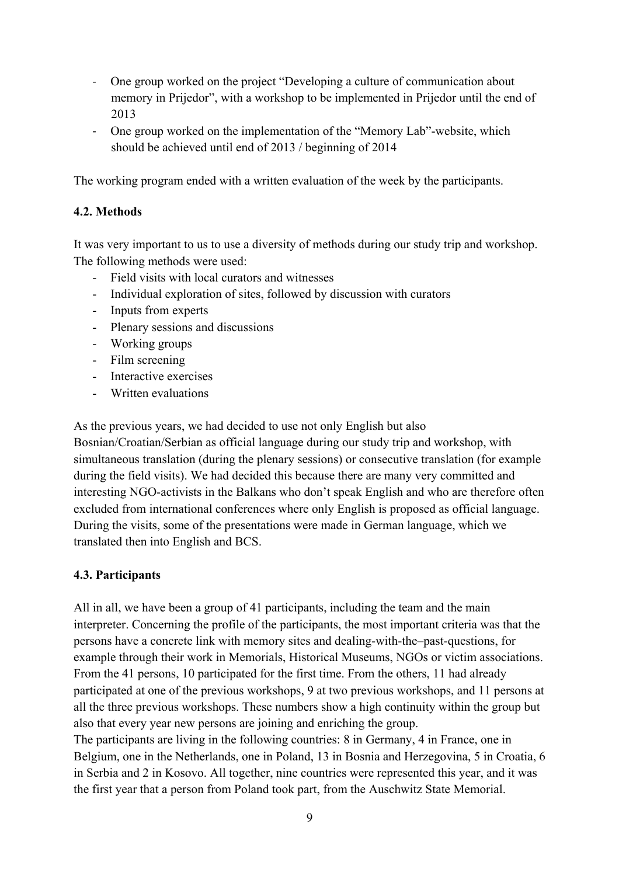- ‐ One group worked on the project "Developing a culture of communication about memory in Prijedor", with a workshop to be implemented in Prijedor until the end of 2013
- ‐ One group worked on the implementation of the "Memory Lab"-website, which should be achieved until end of 2013 / beginning of 2014

The working program ended with a written evaluation of the week by the participants.

#### **4.2. Methods**

It was very important to us to use a diversity of methods during our study trip and workshop. The following methods were used:

- Field visits with local curators and witnesses
- Individual exploration of sites, followed by discussion with curators
- Inputs from experts
- Plenary sessions and discussions
- Working groups
- Film screening
- Interactive exercises
- Written evaluations

As the previous years, we had decided to use not only English but also Bosnian/Croatian/Serbian as official language during our study trip and workshop, with simultaneous translation (during the plenary sessions) or consecutive translation (for example during the field visits). We had decided this because there are many very committed and interesting NGO-activists in the Balkans who don't speak English and who are therefore often excluded from international conferences where only English is proposed as official language. During the visits, some of the presentations were made in German language, which we translated then into English and BCS.

#### **4.3. Participants**

All in all, we have been a group of 41 participants, including the team and the main interpreter. Concerning the profile of the participants, the most important criteria was that the persons have a concrete link with memory sites and dealing-with-the–past-questions, for example through their work in Memorials, Historical Museums, NGOs or victim associations. From the 41 persons, 10 participated for the first time. From the others, 11 had already participated at one of the previous workshops, 9 at two previous workshops, and 11 persons at all the three previous workshops. These numbers show a high continuity within the group but also that every year new persons are joining and enriching the group.

The participants are living in the following countries: 8 in Germany, 4 in France, one in Belgium, one in the Netherlands, one in Poland, 13 in Bosnia and Herzegovina, 5 in Croatia, 6 in Serbia and 2 in Kosovo. All together, nine countries were represented this year, and it was the first year that a person from Poland took part, from the Auschwitz State Memorial.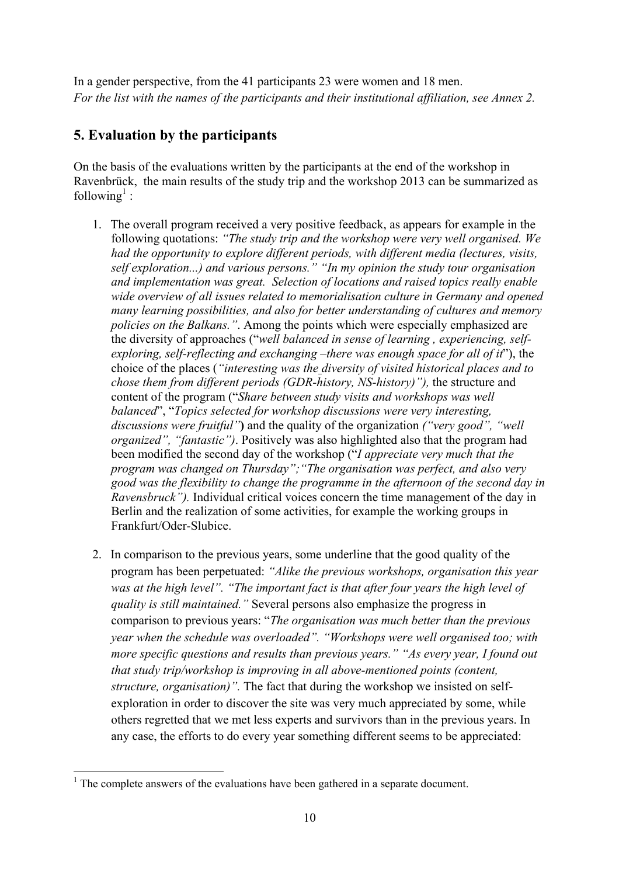In a gender perspective, from the 41 participants 23 were women and 18 men. *For the list with the names of the participants and their institutional affiliation, see Annex 2.* 

## **5. Evaluation by the participants**

On the basis of the evaluations written by the participants at the end of the workshop in Ravenbrück, the main results of the study trip and the workshop 2013 can be summarized as following<sup>1</sup>:

- 1. The overall program received a very positive feedback, as appears for example in the following quotations: *"The study trip and the workshop were very well organised. We had the opportunity to explore different periods, with different media (lectures, visits, self exploration...) and various persons." "In my opinion the study tour organisation and implementation was great. Selection of locations and raised topics really enable wide overview of all issues related to memorialisation culture in Germany and opened many learning possibilities, and also for better understanding of cultures and memory policies on the Balkans."*. Among the points which were especially emphasized are the diversity of approaches ("*well balanced in sense of learning , experiencing, selfexploring, self-reflecting and exchanging –there was enough space for all of it*"), the choice of the places (*"interesting was the diversity of visited historical places and to chose them from different periods (GDR-history, NS-history)"),* the structure and content of the program ("*Share between study visits and workshops was well balanced*", "*Topics selected for workshop discussions were very interesting, discussions were fruitful"***)** and the quality of the organization *("very good", "well organized", "fantastic")*. Positively was also highlighted also that the program had been modified the second day of the workshop ("*I appreciate very much that the program was changed on Thursday";"The organisation was perfect, and also very good was the flexibility to change the programme in the afternoon of the second day in Ravensbruck").* Individual critical voices concern the time management of the day in Berlin and the realization of some activities, for example the working groups in Frankfurt/Oder-Slubice.
- 2. In comparison to the previous years, some underline that the good quality of the program has been perpetuated: *"Alike the previous workshops, organisation this year was at the high level". "The important fact is that after four years the high level of quality is still maintained."* Several persons also emphasize the progress in comparison to previous years: "*The organisation was much better than the previous year when the schedule was overloaded". "Workshops were well organised too; with more specific questions and results than previous years." "As every year, I found out that study trip/workshop is improving in all above-mentioned points (content, structure, organisation)".* The fact that during the workshop we insisted on selfexploration in order to discover the site was very much appreciated by some, while others regretted that we met less experts and survivors than in the previous years. In any case, the efforts to do every year something different seems to be appreciated:

<sup>&</sup>lt;u>.</u> <sup>1</sup> The complete answers of the evaluations have been gathered in a separate document.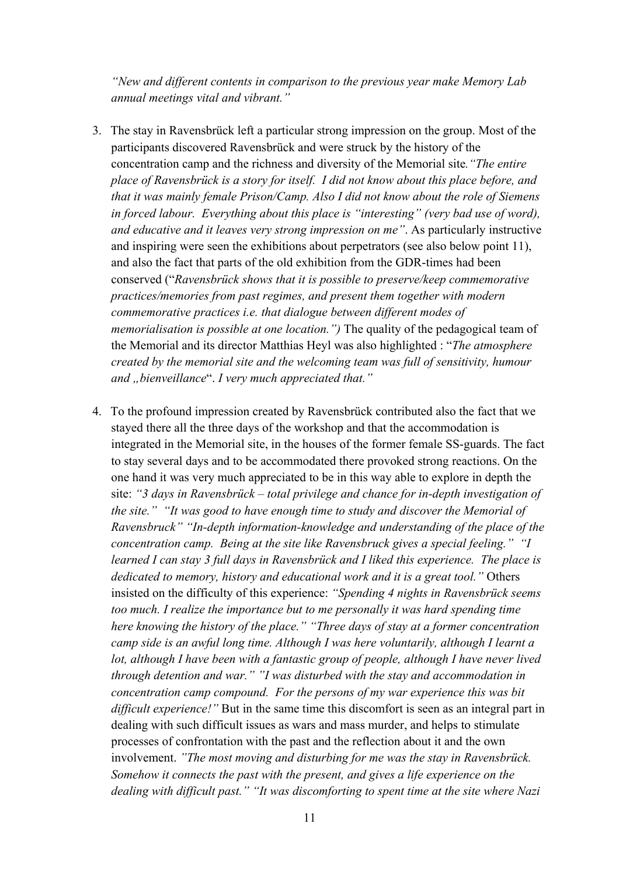*"New and different contents in comparison to the previous year make Memory Lab annual meetings vital and vibrant."*

- 3. The stay in Ravensbrück left a particular strong impression on the group. Most of the participants discovered Ravensbrück and were struck by the history of the concentration camp and the richness and diversity of the Memorial site*."The entire place of Ravensbrück is a story for itself. I did not know about this place before, and that it was mainly female Prison/Camp. Also I did not know about the role of Siemens in forced labour. Everything about this place is "interesting" (very bad use of word), and educative and it leaves very strong impression on me"*. As particularly instructive and inspiring were seen the exhibitions about perpetrators (see also below point 11), and also the fact that parts of the old exhibition from the GDR-times had been conserved ("*Ravensbrück shows that it is possible to preserve/keep commemorative practices/memories from past regimes, and present them together with modern commemorative practices i.e. that dialogue between different modes of memorialisation is possible at one location.")* The quality of the pedagogical team of the Memorial and its director Matthias Heyl was also highlighted : "*The atmosphere created by the memorial site and the welcoming team was full of sensitivity, humour and* "bienveillance". *I very much appreciated that.*"
- 4. To the profound impression created by Ravensbrück contributed also the fact that we stayed there all the three days of the workshop and that the accommodation is integrated in the Memorial site, in the houses of the former female SS-guards. The fact to stay several days and to be accommodated there provoked strong reactions. On the one hand it was very much appreciated to be in this way able to explore in depth the site: *"3 days in Ravensbrück – total privilege and chance for in-depth investigation of the site." "It was good to have enough time to study and discover the Memorial of Ravensbruck" "In-depth information-knowledge and understanding of the place of the concentration camp. Being at the site like Ravensbruck gives a special feeling." "I learned I can stay 3 full days in Ravensbrück and I liked this experience. The place is dedicated to memory, history and educational work and it is a great tool."* Others insisted on the difficulty of this experience: *"Spending 4 nights in Ravensbrück seems*  too much. I realize the importance but to me personally it was hard spending time *here knowing the history of the place." "Three days of stay at a former concentration camp side is an awful long time. Although I was here voluntarily, although I learnt a lot, although I have been with a fantastic group of people, although I have never lived through detention and war." "I was disturbed with the stay and accommodation in concentration camp compound. For the persons of my war experience this was bit difficult experience!"* But in the same time this discomfort is seen as an integral part in dealing with such difficult issues as wars and mass murder, and helps to stimulate processes of confrontation with the past and the reflection about it and the own involvement. *"The most moving and disturbing for me was the stay in Ravensbrück. Somehow it connects the past with the present, and gives a life experience on the dealing with difficult past." "It was discomforting to spent time at the site where Nazi*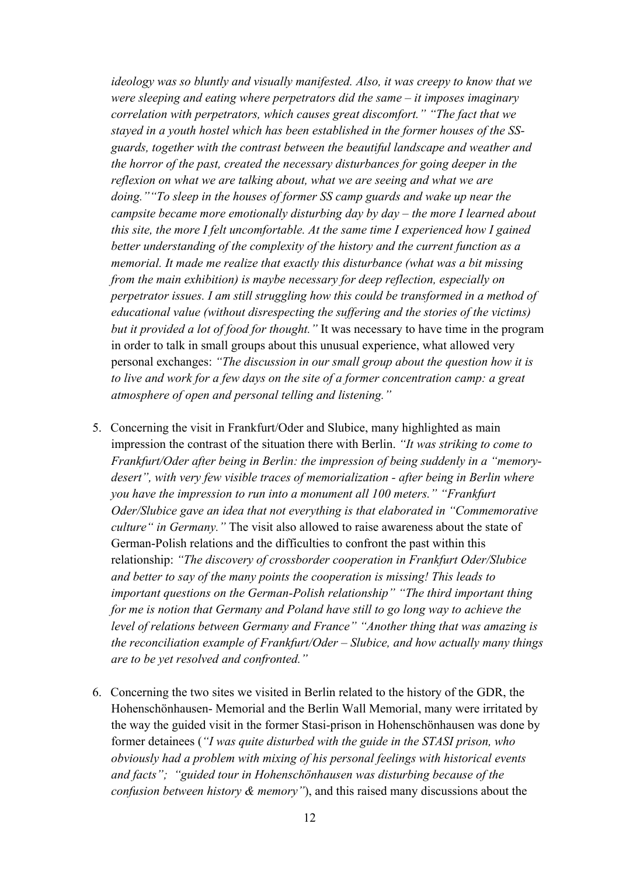*ideology was so bluntly and visually manifested. Also, it was creepy to know that we were sleeping and eating where perpetrators did the same – it imposes imaginary correlation with perpetrators, which causes great discomfort." "The fact that we stayed in a youth hostel which has been established in the former houses of the SSguards, together with the contrast between the beautiful landscape and weather and the horror of the past, created the necessary disturbances for going deeper in the reflexion on what we are talking about, what we are seeing and what we are doing.""To sleep in the houses of former SS camp guards and wake up near the campsite became more emotionally disturbing day by day – the more I learned about this site, the more I felt uncomfortable. At the same time I experienced how I gained better understanding of the complexity of the history and the current function as a memorial. It made me realize that exactly this disturbance (what was a bit missing from the main exhibition) is maybe necessary for deep reflection, especially on perpetrator issues. I am still struggling how this could be transformed in a method of educational value (without disrespecting the suffering and the stories of the victims) but it provided a lot of food for thought."* It was necessary to have time in the program in order to talk in small groups about this unusual experience, what allowed very personal exchanges: *"The discussion in our small group about the question how it is to live and work for a few days on the site of a former concentration camp: a great atmosphere of open and personal telling and listening."*

- 5. Concerning the visit in Frankfurt/Oder and Slubice, many highlighted as main impression the contrast of the situation there with Berlin. *"It was striking to come to Frankfurt/Oder after being in Berlin: the impression of being suddenly in a "memorydesert", with very few visible traces of memorialization - after being in Berlin where you have the impression to run into a monument all 100 meters." "Frankfurt Oder/Slubice gave an idea that not everything is that elaborated in "Commemorative culture" in Germany."* The visit also allowed to raise awareness about the state of German-Polish relations and the difficulties to confront the past within this relationship: *"The discovery of crossborder cooperation in Frankfurt Oder/Slubice and better to say of the many points the cooperation is missing! This leads to important questions on the German-Polish relationship" "The third important thing for me is notion that Germany and Poland have still to go long way to achieve the level of relations between Germany and France" "Another thing that was amazing is the reconciliation example of Frankfurt/Oder – Slubice, and how actually many things are to be yet resolved and confronted."*
- 6. Concerning the two sites we visited in Berlin related to the history of the GDR, the Hohenschönhausen- Memorial and the Berlin Wall Memorial, many were irritated by the way the guided visit in the former Stasi-prison in Hohenschönhausen was done by former detainees (*"I was quite disturbed with the guide in the STASI prison, who obviously had a problem with mixing of his personal feelings with historical events and facts"; "guided tour in Hohenschönhausen was disturbing because of the confusion between history & memory"*), and this raised many discussions about the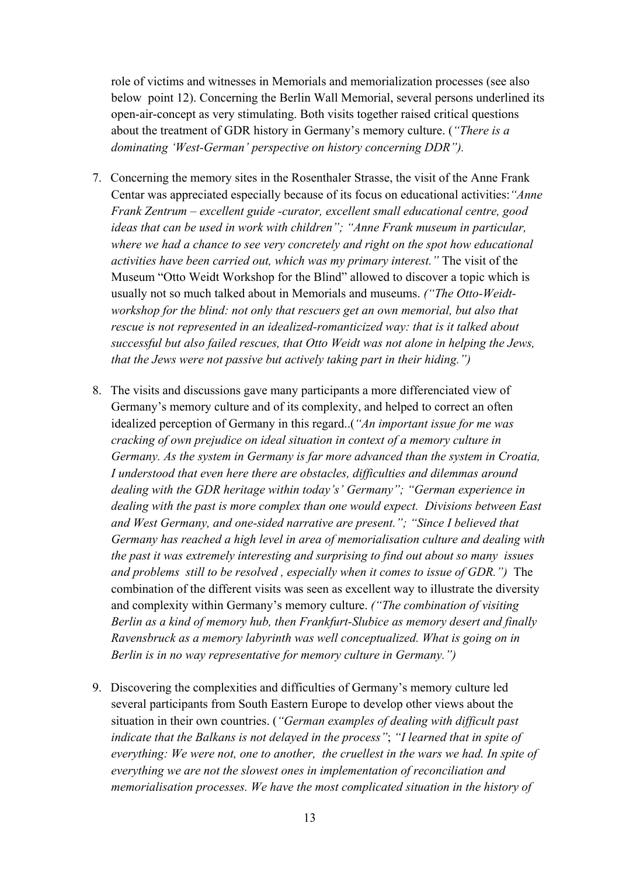role of victims and witnesses in Memorials and memorialization processes (see also below point 12). Concerning the Berlin Wall Memorial, several persons underlined its open-air-concept as very stimulating. Both visits together raised critical questions about the treatment of GDR history in Germany's memory culture. (*"There is a dominating 'West-German' perspective on history concerning DDR").*

- 7. Concerning the memory sites in the Rosenthaler Strasse, the visit of the Anne Frank Centar was appreciated especially because of its focus on educational activities:*"Anne Frank Zentrum – excellent guide -curator, excellent small educational centre, good ideas that can be used in work with children"; "Anne Frank museum in particular, where we had a chance to see very concretely and right on the spot how educational activities have been carried out, which was my primary interest."* The visit of the Museum "Otto Weidt Workshop for the Blind" allowed to discover a topic which is usually not so much talked about in Memorials and museums. *("The Otto-Weidtworkshop for the blind: not only that rescuers get an own memorial, but also that rescue is not represented in an idealized-romanticized way: that is it talked about successful but also failed rescues, that Otto Weidt was not alone in helping the Jews, that the Jews were not passive but actively taking part in their hiding.")*
- 8. The visits and discussions gave many participants a more differenciated view of Germany's memory culture and of its complexity, and helped to correct an often idealized perception of Germany in this regard..(*"An important issue for me was cracking of own prejudice on ideal situation in context of a memory culture in Germany. As the system in Germany is far more advanced than the system in Croatia, I understood that even here there are obstacles, difficulties and dilemmas around dealing with the GDR heritage within today's' Germany"; "German experience in dealing with the past is more complex than one would expect. Divisions between East and West Germany, and one-sided narrative are present."; "Since I believed that Germany has reached a high level in area of memorialisation culture and dealing with the past it was extremely interesting and surprising to find out about so many issues and problems still to be resolved , especially when it comes to issue of GDR.")* The combination of the different visits was seen as excellent way to illustrate the diversity and complexity within Germany's memory culture. *("The combination of visiting Berlin as a kind of memory hub, then Frankfurt-Slubice as memory desert and finally Ravensbruck as a memory labyrinth was well conceptualized. What is going on in Berlin is in no way representative for memory culture in Germany.")*
- 9. Discovering the complexities and difficulties of Germany's memory culture led several participants from South Eastern Europe to develop other views about the situation in their own countries. (*"German examples of dealing with difficult past indicate that the Balkans is not delayed in the process"*; *"I learned that in spite of everything: We were not, one to another, the cruellest in the wars we had. In spite of everything we are not the slowest ones in implementation of reconciliation and memorialisation processes. We have the most complicated situation in the history of*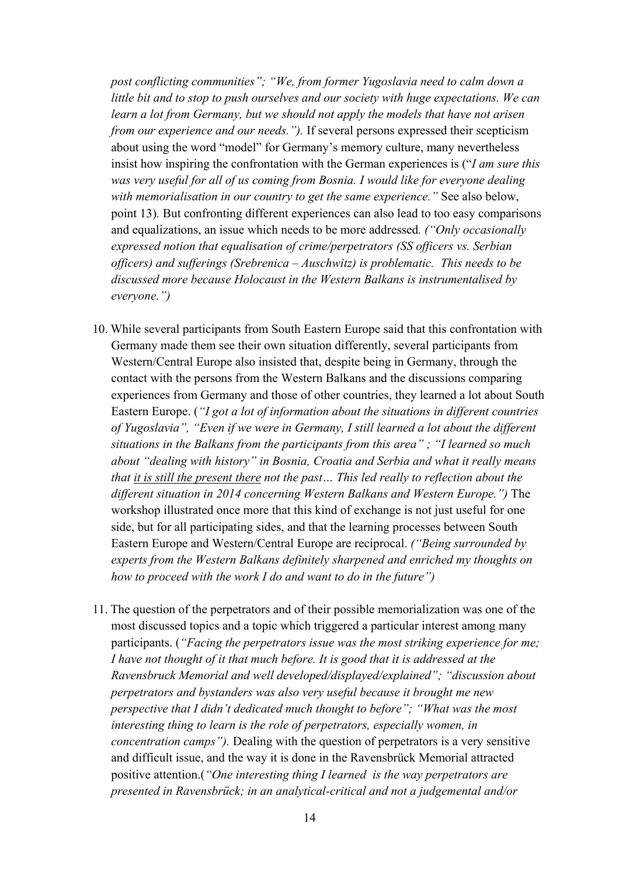*post conflicting communities"; "We, from former Yugoslavia need to calm down a little bit and to stop to push ourselves and our society with huge expectations. We can learn a lot from Germany, but we should not apply the models that have not arisen from our experience and our needs.").* If several persons expressed their scepticism about using the word "model" for Germany's memory culture, many nevertheless insist how inspiring the confrontation with the German experiences is ("*I am sure this was very useful for all of us coming from Bosnia. I would like for everyone dealing with memorialisation in our country to get the same experience."* See also below, point 13)*.* But confronting different experiences can also lead to too easy comparisons and equalizations, an issue which needs to be more addressed*. ("Only occasionally expressed notion that equalisation of crime/perpetrators (SS officers vs. Serbian officers) and sufferings (Srebrenica – Auschwitz) is problematic. This needs to be discussed more because Holocaust in the Western Balkans is instrumentalised by everyone.")*

- 10. While several participants from South Eastern Europe said that this confrontation with Germany made them see their own situation differently, several participants from Western/Central Europe also insisted that, despite being in Germany, through the contact with the persons from the Western Balkans and the discussions comparing experiences from Germany and those of other countries, they learned a lot about South Eastern Europe. (*"I got a lot of information about the situations in different countries of Yugoslavia", "Even if we were in Germany, I still learned a lot about the different situations in the Balkans from the participants from this area" ; "I learned so much about "dealing with history" in Bosnia, Croatia and Serbia and what it really means that it is still the present there not the past… This led really to reflection about the different situation in 2014 concerning Western Balkans and Western Europe.")* The workshop illustrated once more that this kind of exchange is not just useful for one side, but for all participating sides, and that the learning processes between South Eastern Europe and Western/Central Europe are reciprocal. *("Being surrounded by experts from the Western Balkans definitely sharpened and enriched my thoughts on how to proceed with the work I do and want to do in the future")*
- 11. The question of the perpetrators and of their possible memorialization was one of the most discussed topics and a topic which triggered a particular interest among many participants. (*"Facing the perpetrators issue was the most striking experience for me; I have not thought of it that much before. It is good that it is addressed at the Ravensbruck Memorial and well developed/displayed/explained"; "discussion about perpetrators and bystanders was also very useful because it brought me new perspective that I didn't dedicated much thought to before"; "What was the most interesting thing to learn is the role of perpetrators, especially women, in concentration camps").* Dealing with the question of perpetrators is a very sensitive and difficult issue, and the way it is done in the Ravensbrück Memorial attracted positive attention.(*"One interesting thing I learned is the way perpetrators are presented in Ravensbrück; in an analytical-critical and not a judgemental and/or*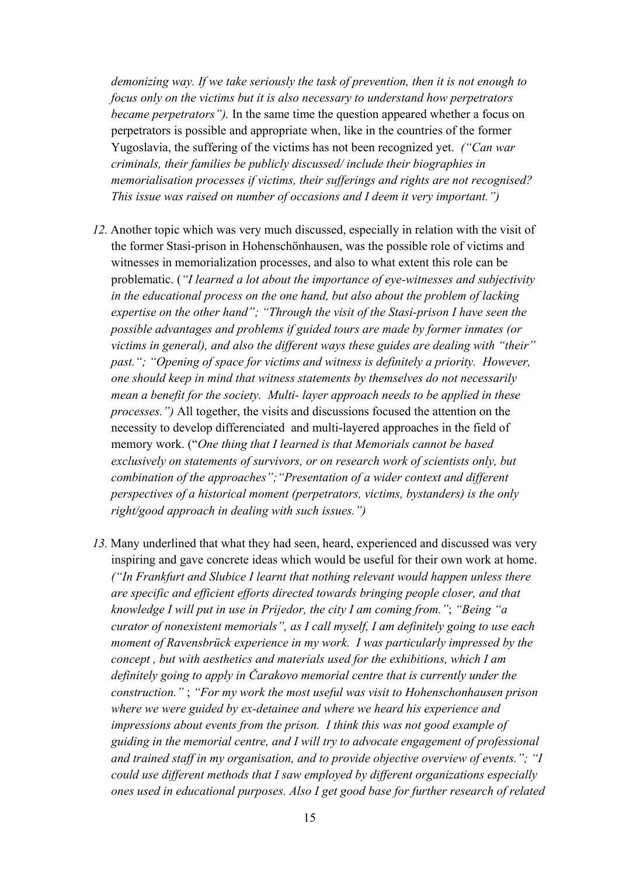*demonizing way. If we take seriously the task of prevention, then it is not enough to focus only on the victims but it is also necessary to understand how perpetrators became perpetrators").* In the same time the question appeared whether a focus on perpetrators is possible and appropriate when, like in the countries of the former Yugoslavia, the suffering of the victims has not been recognized yet. *("Can war criminals, their families be publicly discussed/ include their biographies in memorialisation processes if victims, their sufferings and rights are not recognised? This issue was raised on number of occasions and I deem it very important.")* 

- *12.* Another topic which was very much discussed, especially in relation with the visit of the former Stasi-prison in Hohenschönhausen, was the possible role of victims and witnesses in memorialization processes, and also to what extent this role can be problematic. (*"I learned a lot about the importance of eye-witnesses and subjectivity in the educational process on the one hand, but also about the problem of lacking expertise on the other hand"; "Through the visit of the Stasi-prison I have seen the possible advantages and problems if guided tours are made by former inmates (or victims in general), and also the different ways these guides are dealing with "their"*  past."; "Opening of space for victims and witness is definitely a priority. However, *one should keep in mind that witness statements by themselves do not necessarily mean a benefit for the society. Multi- layer approach needs to be applied in these processes.")* All together, the visits and discussions focused the attention on the necessity to develop differenciated and multi-layered approaches in the field of memory work. ("*One thing that I learned is that Memorials cannot be based exclusively on statements of survivors, or on research work of scientists only, but combination of the approaches";"Presentation of a wider context and different perspectives of a historical moment (perpetrators, victims, bystanders) is the only right/good approach in dealing with such issues.")*
- *13.* Many underlined that what they had seen, heard, experienced and discussed was very inspiring and gave concrete ideas which would be useful for their own work at home. *("In Frankfurt and Slubice I learnt that nothing relevant would happen unless there are specific and efficient efforts directed towards bringing people closer, and that knowledge I will put in use in Prijedor, the city I am coming from."*; *"Being "a curator of nonexistent memorials", as I call myself, I am definitely going to use each moment of Ravensbrück experience in my work. I was particularly impressed by the concept , but with aesthetics and materials used for the exhibitions, which I am definitely going to apply in Čarakovo memorial centre that is currently under the construction."* ; *"For my work the most useful was visit to Hohenschonhausen prison where we were guided by ex-detainee and where we heard his experience and impressions about events from the prison. I think this was not good example of guiding in the memorial centre, and I will try to advocate engagement of professional and trained staff in my organisation, and to provide objective overview of events."; "I could use different methods that I saw employed by different organizations especially ones used in educational purposes. Also I get good base for further research of related*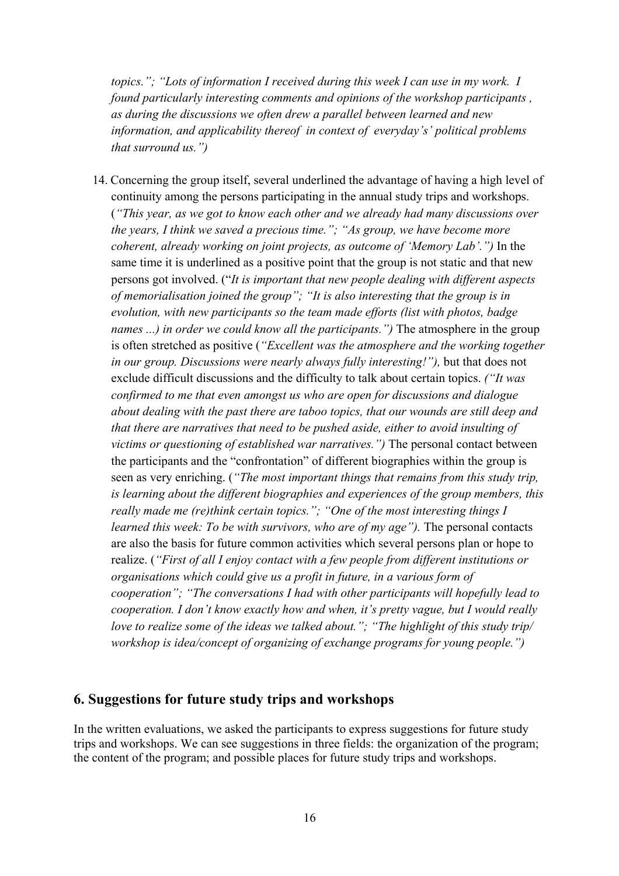*topics."; "Lots of information I received during this week I can use in my work. I found particularly interesting comments and opinions of the workshop participants , as during the discussions we often drew a parallel between learned and new information, and applicability thereof in context of everyday's' political problems that surround us.")* 

14. Concerning the group itself, several underlined the advantage of having a high level of continuity among the persons participating in the annual study trips and workshops. (*"This year, as we got to know each other and we already had many discussions over the years, I think we saved a precious time."; "As group, we have become more coherent, already working on joint projects, as outcome of 'Memory Lab'.")* In the same time it is underlined as a positive point that the group is not static and that new persons got involved. ("*It is important that new people dealing with different aspects of memorialisation joined the group"; "It is also interesting that the group is in evolution, with new participants so the team made efforts (list with photos, badge names ...) in order we could know all the participants.")* The atmosphere in the group is often stretched as positive (*"Excellent was the atmosphere and the working together in our group. Discussions were nearly always fully interesting!"),* but that does not exclude difficult discussions and the difficulty to talk about certain topics. *("It was confirmed to me that even amongst us who are open for discussions and dialogue about dealing with the past there are taboo topics, that our wounds are still deep and that there are narratives that need to be pushed aside, either to avoid insulting of victims or questioning of established war narratives.")* The personal contact between the participants and the "confrontation" of different biographies within the group is seen as very enriching. (*"The most important things that remains from this study trip, is learning about the different biographies and experiences of the group members, this really made me (re)think certain topics."; "One of the most interesting things I learned this week: To be with survivors, who are of my age").* The personal contacts are also the basis for future common activities which several persons plan or hope to realize. (*"First of all I enjoy contact with a few people from different institutions or organisations which could give us a profit in future, in a various form of cooperation"; "The conversations I had with other participants will hopefully lead to cooperation. I don't know exactly how and when, it's pretty vague, but I would really love to realize some of the ideas we talked about."; "The highlight of this study trip/ workshop is idea/concept of organizing of exchange programs for young people.")*

#### **6. Suggestions for future study trips and workshops**

In the written evaluations, we asked the participants to express suggestions for future study trips and workshops. We can see suggestions in three fields: the organization of the program; the content of the program; and possible places for future study trips and workshops.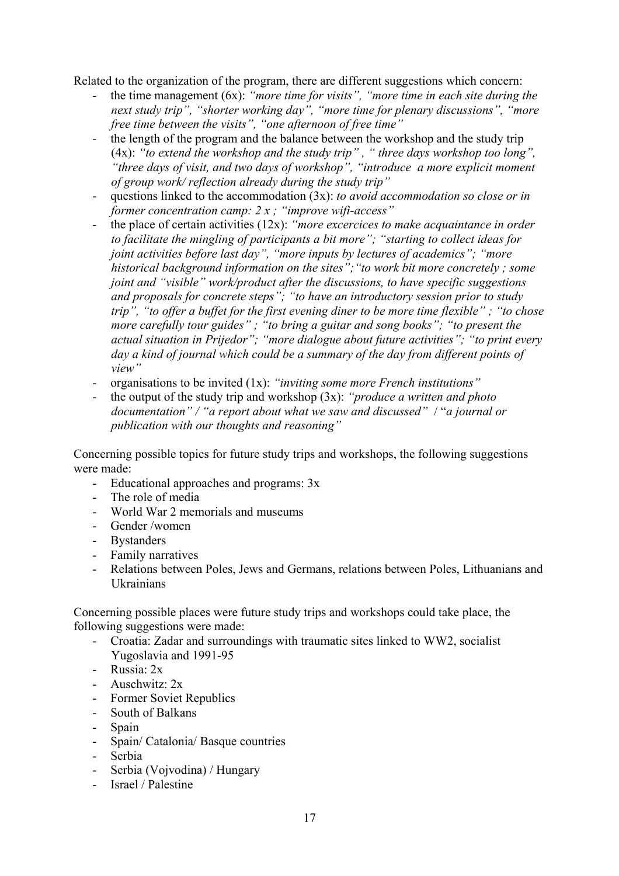Related to the organization of the program, there are different suggestions which concern:

- the time management (6x): *"more time for visits", "more time in each site during the next study trip", "shorter working day", "more time for plenary discussions", "more free time between the visits", "one afternoon of free time"*
- the length of the program and the balance between the workshop and the study trip (4x): *"to extend the workshop and the study trip" , " three days workshop too long", "three days of visit, and two days of workshop", "introduce a more explicit moment of group work/ reflection already during the study trip"*
- questions linked to the accommodation (3x): *to avoid accommodation so close or in former concentration camp: 2 x ; "improve wifi-access"*
- the place of certain activities (12x): *"more excercices to make acquaintance in order to facilitate the mingling of participants a bit more"; "starting to collect ideas for joint activities before last day", "more inputs by lectures of academics"; "more historical background information on the sites";"to work bit more concretely ; some joint and "visible" work/product after the discussions, to have specific suggestions and proposals for concrete steps"; "to have an introductory session prior to study trip", "to offer a buffet for the first evening diner to be more time flexible" ; "to chose more carefully tour guides" ; "to bring a guitar and song books"; "to present the actual situation in Prijedor"; "more dialogue about future activities"; "to print every day a kind of journal which could be a summary of the day from different points of view"*
- organisations to be invited (1x): *"inviting some more French institutions"*
- the output of the study trip and workshop (3x): *"produce a written and photo documentation" / "a report about what we saw and discussed"* / "*a journal or publication with our thoughts and reasoning"*

Concerning possible topics for future study trips and workshops, the following suggestions were made:

- Educational approaches and programs: 3x
- The role of media
- World War 2 memorials and museums
- Gender /women
- Bystanders
- Family narratives
- Relations between Poles, Jews and Germans, relations between Poles, Lithuanians and Ukrainians

Concerning possible places were future study trips and workshops could take place, the following suggestions were made:

- Croatia: Zadar and surroundings with traumatic sites linked to WW2, socialist Yugoslavia and 1991-95
- Russia: 2x
- Auschwitz: 2x
- Former Soviet Republics
- South of Balkans
- Spain
- Spain/ Catalonia/ Basque countries
- Serbia
- Serbia (Vojvodina) / Hungary
- Israel / Palestine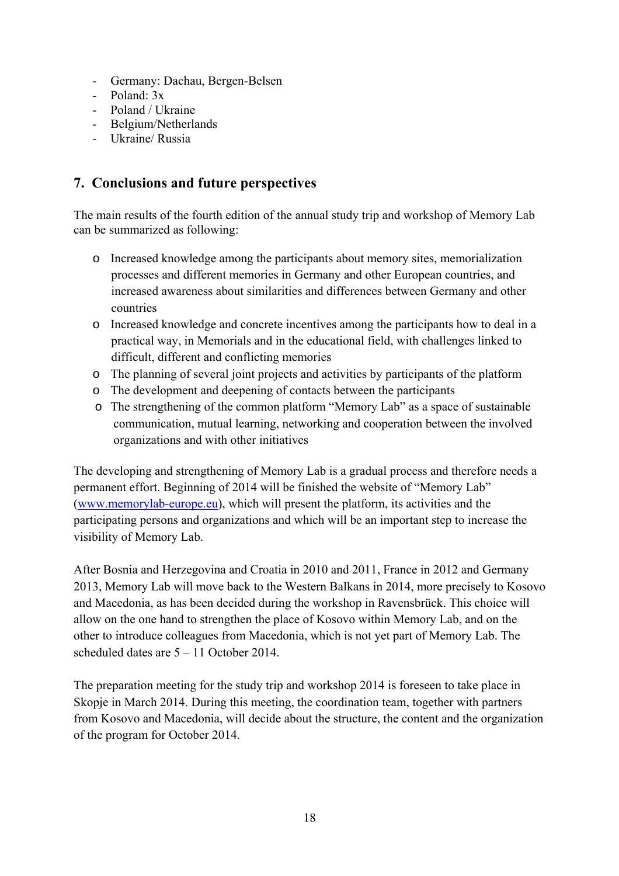- Germany: Dachau, Bergen-Belsen
- Poland: 3x
- Poland / Ukraine
- Belgium/Netherlands
- Ukraine/ Russia

### **7. Conclusions and future perspectives**

The main results of the fourth edition of the annual study trip and workshop of Memory Lab can be summarized as following:

- o Increased knowledge among the participants about memory sites, memorialization processes and different memories in Germany and other European countries, and increased awareness about similarities and differences between Germany and other countries
- o Increased knowledge and concrete incentives among the participants how to deal in a practical way, in Memorials and in the educational field, with challenges linked to difficult, different and conflicting memories
- o The planning of several joint projects and activities by participants of the platform
- o The development and deepening of contacts between the participants
- o The strengthening of the common platform "Memory Lab" as a space of sustainable communication, mutual learning, networking and cooperation between the involved organizations and with other initiatives

The developing and strengthening of Memory Lab is a gradual process and therefore needs a permanent effort. Beginning of 2014 will be finished the website of "Memory Lab" (www.memorylab-europe.eu), which will present the platform, its activities and the participating persons and organizations and which will be an important step to increase the visibility of Memory Lab.

After Bosnia and Herzegovina and Croatia in 2010 and 2011, France in 2012 and Germany 2013, Memory Lab will move back to the Western Balkans in 2014, more precisely to Kosovo and Macedonia, as has been decided during the workshop in Ravensbrück. This choice will allow on the one hand to strengthen the place of Kosovo within Memory Lab, and on the other to introduce colleagues from Macedonia, which is not yet part of Memory Lab. The scheduled dates are 5 – 11 October 2014.

The preparation meeting for the study trip and workshop 2014 is foreseen to take place in Skopje in March 2014. During this meeting, the coordination team, together with partners from Kosovo and Macedonia, will decide about the structure, the content and the organization of the program for October 2014.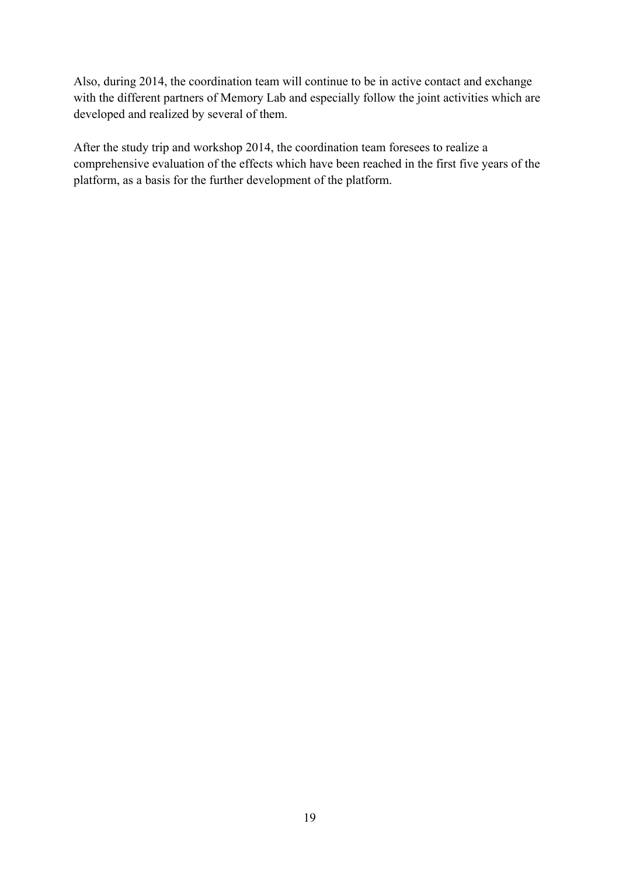Also, during 2014, the coordination team will continue to be in active contact and exchange with the different partners of Memory Lab and especially follow the joint activities which are developed and realized by several of them.

After the study trip and workshop 2014, the coordination team foresees to realize a comprehensive evaluation of the effects which have been reached in the first five years of the platform, as a basis for the further development of the platform.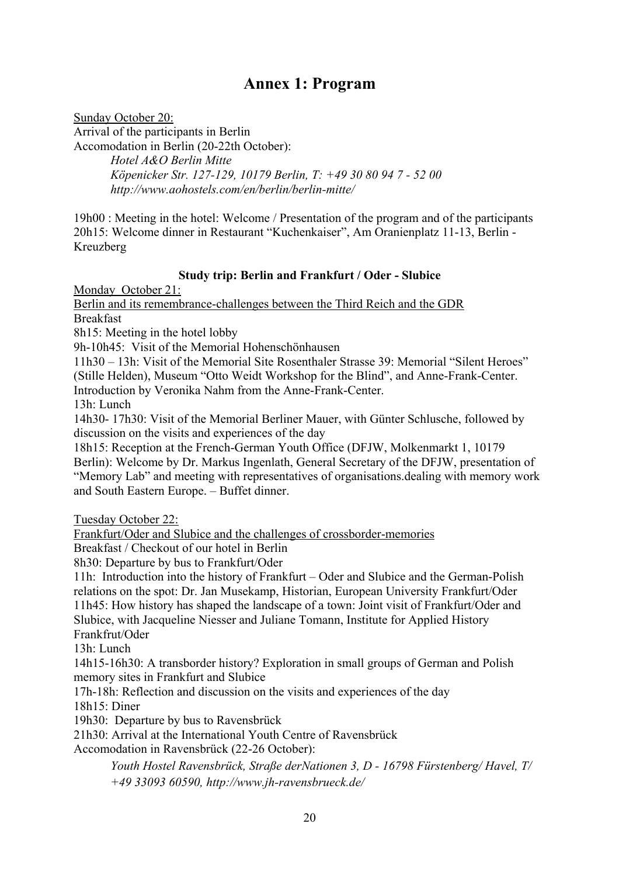## **Annex 1: Program**

Sunday October 20: Arrival of the participants in Berlin Accomodation in Berlin (20-22th October): *Hotel A&O Berlin Mitte Köpenicker Str. 127-129, 10179 Berlin, T: +49 30 80 94 7 - 52 00 http://www.aohostels.com/en/berlin/berlin-mitte/* 

19h00 : Meeting in the hotel: Welcome / Presentation of the program and of the participants 20h15: Welcome dinner in Restaurant "Kuchenkaiser", Am Oranienplatz 11-13, Berlin - Kreuzberg

#### **Study trip: Berlin and Frankfurt / Oder - Slubice**

Monday October 21:

Berlin and its remembrance-challenges between the Third Reich and the GDR Breakfast

8h15: Meeting in the hotel lobby

9h-10h45: Visit of the Memorial Hohenschönhausen

11h30 – 13h: Visit of the Memorial Site Rosenthaler Strasse 39: Memorial "Silent Heroes" (Stille Helden), Museum "Otto Weidt Workshop for the Blind", and Anne-Frank-Center. Introduction by Veronika Nahm from the Anne-Frank-Center.

13h: Lunch

14h30- 17h30: Visit of the Memorial Berliner Mauer, with Günter Schlusche, followed by discussion on the visits and experiences of the day

18h15: Reception at the French-German Youth Office (DFJW, Molkenmarkt 1, 10179 Berlin): Welcome by Dr. Markus Ingenlath, General Secretary of the DFJW, presentation of "Memory Lab" and meeting with representatives of organisations.dealing with memory work and South Eastern Europe. – Buffet dinner.

Tuesday October 22:

Frankfurt/Oder and Slubice and the challenges of crossborder-memories

Breakfast / Checkout of our hotel in Berlin

8h30: Departure by bus to Frankfurt/Oder

11h: Introduction into the history of Frankfurt – Oder and Slubice and the German-Polish relations on the spot: Dr. Jan Musekamp, Historian, European University Frankfurt/Oder 11h45: How history has shaped the landscape of a town: Joint visit of Frankfurt/Oder and Slubice, with Jacqueline Niesser and Juliane Tomann, Institute for Applied History Frankfrut/Oder

13h: Lunch

14h15-16h30: A transborder history? Exploration in small groups of German and Polish memory sites in Frankfurt and Slubice

17h-18h: Reflection and discussion on the visits and experiences of the day

18h15: Diner

19h30: Departure by bus to Ravensbrück

21h30: Arrival at the International Youth Centre of Ravensbrück

Accomodation in Ravensbrück (22-26 October):

*Youth Hostel Ravensbrück, Straße derNationen 3, D - 16798 Fürstenberg/ Havel, T/ +49 33093 60590, http://www.jh-ravensbrueck.de/*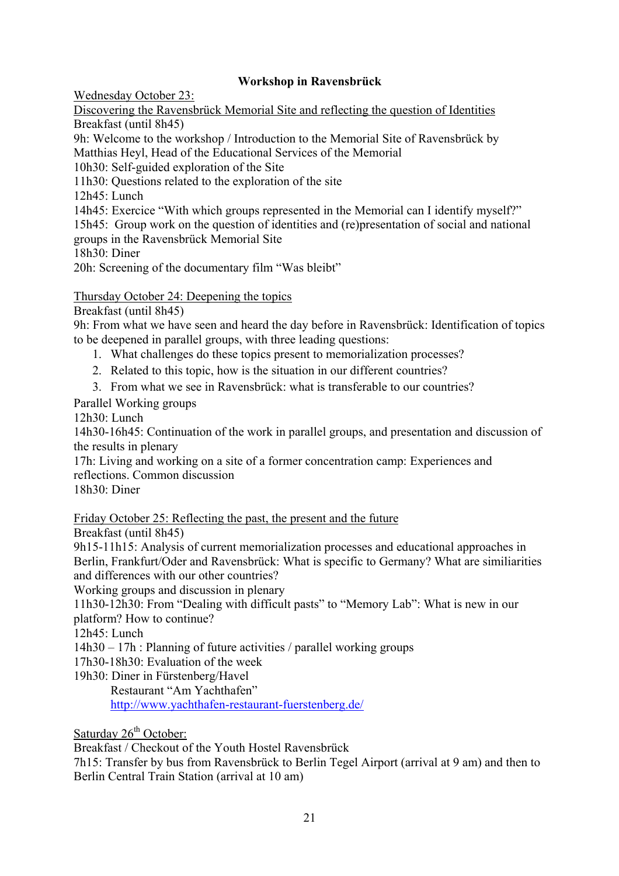#### **Workshop in Ravensbrück**

Wednesday October 23:

Discovering the Ravensbrück Memorial Site and reflecting the question of Identities Breakfast (until 8h45)

9h: Welcome to the workshop / Introduction to the Memorial Site of Ravensbrück by Matthias Heyl, Head of the Educational Services of the Memorial

10h30: Self-guided exploration of the Site

11h30: Questions related to the exploration of the site

12h45: Lunch

14h45: Exercice "With which groups represented in the Memorial can I identify myself?"

15h45: Group work on the question of identities and (re)presentation of social and national groups in the Ravensbrück Memorial Site

18h30: Diner

20h: Screening of the documentary film "Was bleibt"

Thursday October 24: Deepening the topics

Breakfast (until 8h45)

9h: From what we have seen and heard the day before in Ravensbrück: Identification of topics to be deepened in parallel groups, with three leading questions:

- 1. What challenges do these topics present to memorialization processes?
- 2. Related to this topic, how is the situation in our different countries?
- 3. From what we see in Ravensbrück: what is transferable to our countries?

Parallel Working groups

12h30: Lunch

14h30-16h45: Continuation of the work in parallel groups, and presentation and discussion of the results in plenary

17h: Living and working on a site of a former concentration camp: Experiences and reflections. Common discussion

18h30: Diner

Friday October 25: Reflecting the past, the present and the future

Breakfast (until 8h45)

9h15-11h15: Analysis of current memorialization processes and educational approaches in Berlin, Frankfurt/Oder and Ravensbrück: What is specific to Germany? What are similiarities and differences with our other countries?

Working groups and discussion in plenary

11h30-12h30: From "Dealing with difficult pasts" to "Memory Lab": What is new in our platform? How to continue?

12h45: Lunch

14h30 – 17h : Planning of future activities / parallel working groups

17h30-18h30: Evaluation of the week

19h30: Diner in Fürstenberg/Havel

Restaurant "Am Yachthafen" http://www.yachthafen-restaurant-fuerstenberg.de/

Saturday 26<sup>th</sup> October:

Breakfast / Checkout of the Youth Hostel Ravensbrück

7h15: Transfer by bus from Ravensbrück to Berlin Tegel Airport (arrival at 9 am) and then to Berlin Central Train Station (arrival at 10 am)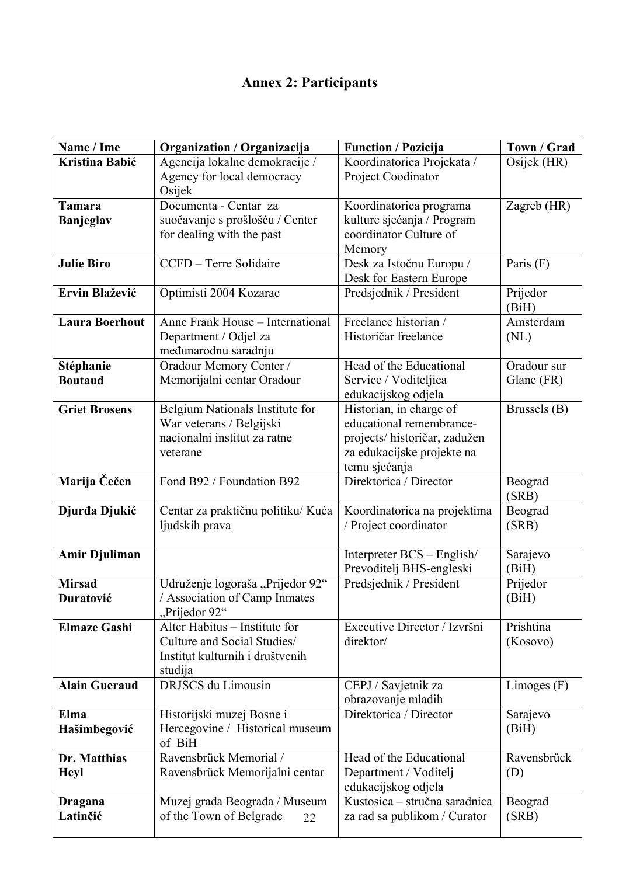## **Annex 2: Participants**

| Name / Ime            | Organization / Organizacija                    | <b>Function / Pozicija</b>                          | Town / Grad       |
|-----------------------|------------------------------------------------|-----------------------------------------------------|-------------------|
| Kristina Babić        | Agencija lokalne demokracije /                 | Koordinatorica Projekata /                          | Osijek (HR)       |
|                       | Agency for local democracy<br>Osijek           | Project Coodinator                                  |                   |
| <b>Tamara</b>         | Documenta - Centar za                          | Koordinatorica programa                             | Zagreb (HR)       |
| Banjeglav             | suočavanje s prošlošću / Center                | kulture sjećanja / Program                          |                   |
|                       | for dealing with the past                      | coordinator Culture of                              |                   |
|                       |                                                | Memory                                              |                   |
| <b>Julie Biro</b>     | CCFD - Terre Solidaire                         | Desk za Istočnu Europu /<br>Desk for Eastern Europe | Paris (F)         |
| Ervin Blažević        | Optimisti 2004 Kozarac                         | Predsjednik / President                             | Prijedor<br>(BiH) |
| <b>Laura Boerhout</b> | Anne Frank House - International               | Freelance historian /                               | Amsterdam         |
|                       | Department / Odjel za                          | Historičar freelance                                | (NL)              |
|                       | međunarodnu saradnju                           |                                                     |                   |
| Stéphanie             | Oradour Memory Center /                        | Head of the Educational                             | Oradour sur       |
| <b>Boutaud</b>        | Memorijalni centar Oradour                     | Service / Voditeljica<br>edukacijskog odjela        | Glane (FR)        |
| <b>Griet Brosens</b>  | Belgium Nationals Institute for                | Historian, in charge of                             | Brussels (B)      |
|                       | War veterans / Belgijski                       | educational remembrance-                            |                   |
|                       | nacionalni institut za ratne                   | projects/ historičar, zadužen                       |                   |
|                       | veterane                                       | za edukacijske projekte na                          |                   |
| Marija Čečen          | Fond B92 / Foundation B92                      | temu sjećanja<br>Direktorica / Director             |                   |
|                       |                                                |                                                     | Beograd<br>(SRB)  |
| Djurđa Djukić         | Centar za praktičnu politiku/Kuća              | Koordinatorica na projektima                        | Beograd           |
|                       | ljudskih prava                                 | / Project coordinator                               | (SRB)             |
| <b>Amir Djuliman</b>  |                                                | Interpreter BCS - English/                          | Sarajevo          |
|                       |                                                | Prevoditelj BHS-engleski                            | (BiH)             |
| <b>Mirsad</b>         | Udruženje logoraša "Prijedor 92"               | Predsjednik / President                             | Prijedor          |
| Duratović             | / Association of Camp Inmates<br>"Prijedor 92" |                                                     | (BiH)             |
| <b>Elmaze Gashi</b>   | Alter Habitus - Institute for                  | Executive Director / Izvršni                        | Prishtina         |
|                       | Culture and Social Studies/                    | direktor/                                           | (Kosovo)          |
|                       | Institut kulturnih i društvenih                |                                                     |                   |
|                       | studija<br><b>DRJSCS</b> du Limousin           |                                                     |                   |
| <b>Alain Gueraud</b>  |                                                | CEPJ / Savjetnik za<br>obrazovanje mladih           | Limoges $(F)$     |
| Elma                  | Historijski muzej Bosne i                      | Direktorica / Director                              | Sarajevo          |
| Hašimbegović          | Hercegovine / Historical museum                |                                                     | (BiH)             |
|                       | of BiH                                         |                                                     |                   |
| Dr. Matthias          | Ravensbrück Memorial /                         | Head of the Educational                             | Ravensbrück       |
| <b>Heyl</b>           | Ravensbrück Memorijalni centar                 | Department / Voditelj                               | (D)               |
|                       |                                                | edukacijskog odjela                                 |                   |
| Dragana               | Muzej grada Beograda / Museum                  | Kustosica – stručna saradnica                       | Beograd           |
| Latinčić              | of the Town of Belgrade<br>22                  | za rad sa publikom / Curator                        | (SRB)             |
|                       |                                                |                                                     |                   |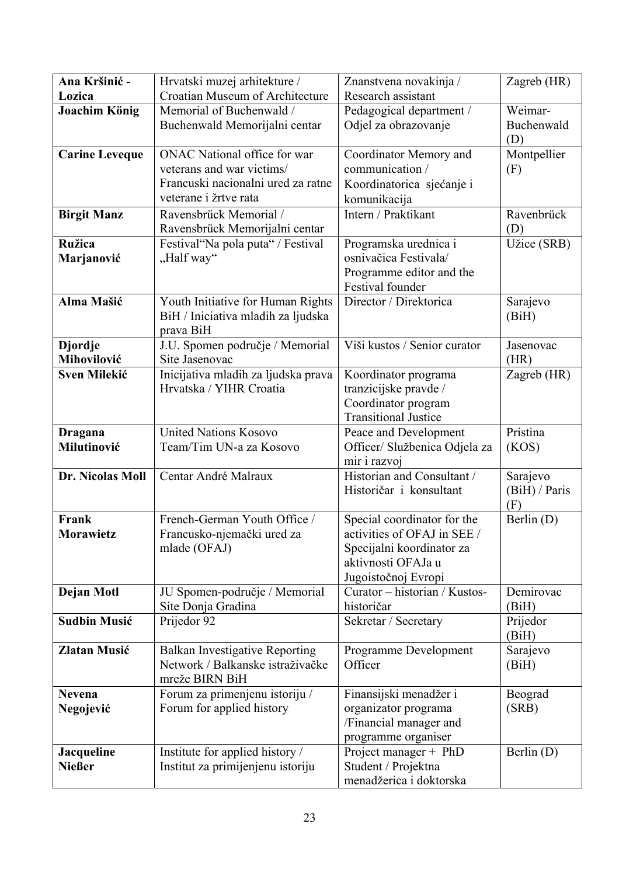| Ana Kršinić -                 | Hrvatski muzej arhitekture /                      | Znanstvena novakinja /                               | Zagreb (HR)       |
|-------------------------------|---------------------------------------------------|------------------------------------------------------|-------------------|
| Lozica                        | Croatian Museum of Architecture                   | Research assistant                                   |                   |
| <b>Joachim König</b>          | Memorial of Buchenwald /                          | Pedagogical department /                             | Weimar-           |
|                               | Buchenwald Memorijalni centar                     | Odjel za obrazovanje                                 | Buchenwald        |
|                               |                                                   |                                                      | (D)               |
| <b>Carine Leveque</b>         | ONAC National office for war                      | Coordinator Memory and                               | Montpellier       |
|                               | veterans and war victims/                         | communication /                                      | (F)               |
|                               | Francuski nacionalni ured za ratne                | Koordinatorica sjećanje i                            |                   |
|                               | veterane i žrtve rata                             | komunikacija                                         |                   |
| <b>Birgit Manz</b>            | Ravensbrück Memorial /                            | Intern / Praktikant                                  | Ravenbrück        |
|                               | Ravensbrück Memorijalni centar                    |                                                      | (D)               |
| <b>Ružica</b>                 | Festival "Na pola puta" / Festival                | Programska urednica i                                | Užice (SRB)       |
| Marjanović                    | "Half way"                                        | osnivačica Festivala/                                |                   |
|                               |                                                   | Programme editor and the                             |                   |
|                               |                                                   | Festival founder                                     |                   |
| Alma Mašić                    | Youth Initiative for Human Rights                 | Director / Direktorica                               | Sarajevo          |
|                               | BiH / Iniciativa mladih za ljudska                |                                                      | (BiH)             |
|                               | prava BiH                                         | Viši kustos / Senior curator                         |                   |
| <b>Djordje</b><br>Mihovilović | J.U. Spomen područje / Memorial<br>Site Jasenovac |                                                      | Jasenovac<br>(HR) |
| <b>Sven Milekić</b>           | Inicijativa mladih za ljudska prava               | Koordinator programa                                 | Zagreb (HR)       |
|                               | Hrvatska / YIHR Croatia                           | tranzicijske pravde /                                |                   |
|                               |                                                   | Coordinator program                                  |                   |
|                               |                                                   | <b>Transitional Justice</b>                          |                   |
| Dragana                       | <b>United Nations Kosovo</b>                      | Peace and Development                                | Pristina          |
| Milutinović                   | Team/Tim UN-a za Kosovo                           | Officer/ Službenica Odjela za                        | (KOS)             |
|                               |                                                   | mir i razvoj                                         |                   |
| Dr. Nicolas Moll              | Centar André Malraux                              | Historian and Consultant /                           | Sarajevo          |
|                               |                                                   | Historičar i konsultant                              | (BiH)/Paris       |
|                               |                                                   |                                                      | (F)               |
| Frank                         | French-German Youth Office /                      | Special coordinator for the                          | Berlin (D)        |
| Morawietz                     | Francusko-njemački ured za                        | activities of OFAJ in SEE /                          |                   |
|                               | mlade (OFAJ)                                      | Specijalni koordinator za                            |                   |
|                               |                                                   | aktivnosti OFAJa u                                   |                   |
| Dejan Motl                    | JU Spomen-područje / Memorial                     | Jugoistočnoj Evropi<br>Curator - historian / Kustos- | Demirovac         |
|                               | Site Donja Gradina                                | historičar                                           | (BiH)             |
| <b>Sudbin Musić</b>           | Prijedor 92                                       | Sekretar / Secretary                                 | Prijedor          |
|                               |                                                   |                                                      | (BiH)             |
| <b>Zlatan Musić</b>           | <b>Balkan Investigative Reporting</b>             | Programme Development                                | Sarajevo          |
|                               | Network / Balkanske istraživačke                  | Officer                                              | (BiH)             |
|                               | mreže BIRN BiH                                    |                                                      |                   |
| <b>Nevena</b>                 | Forum za primenjenu istoriju /                    | Finansijski menadžer i                               | Beograd           |
| Negojević                     | Forum for applied history                         | organizator programa                                 | (SRB)             |
|                               |                                                   | /Financial manager and                               |                   |
|                               |                                                   | programme organiser                                  |                   |
| Jacqueline                    | Institute for applied history /                   | Project manager + PhD                                | Berlin (D)        |
| <b>Nießer</b>                 | Institut za primijenjenu istoriju                 | Student / Projektna                                  |                   |
|                               |                                                   | menadžerica i doktorska                              |                   |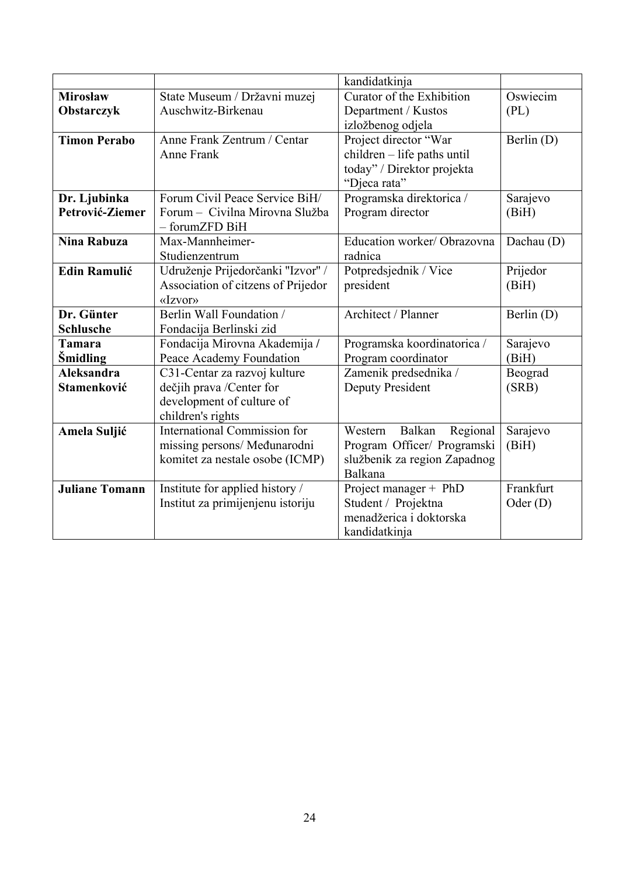|                       |                                     | kandidatkinja                 |            |
|-----------------------|-------------------------------------|-------------------------------|------------|
| <b>Mirosław</b>       | State Museum / Državni muzej        | Curator of the Exhibition     | Oswiecim   |
| Obstarczyk            | Auschwitz-Birkenau                  | Department / Kustos           | (PL)       |
|                       |                                     | izložbenog odjela             |            |
| <b>Timon Perabo</b>   | Anne Frank Zentrum / Centar         | Project director "War         | Berlin (D) |
|                       | Anne Frank                          | children - life paths until   |            |
|                       |                                     | today" / Direktor projekta    |            |
|                       |                                     | "Djeca rata"                  |            |
| Dr. Ljubinka          | Forum Civil Peace Service BiH/      | Programska direktorica /      | Sarajevo   |
| Petrović-Ziemer       | Forum – Civilna Mirovna Služba      | Program director              | (BiH)      |
|                       | - forumZFD BiH                      |                               |            |
| <b>Nina Rabuza</b>    | Max-Mannheimer-                     | Education worker/ Obrazovna   | Dachau (D) |
|                       | Studienzentrum                      | radnica                       |            |
| <b>Edin Ramulić</b>   | Udruženje Prijedorčanki "Izvor" /   | Potpredsjednik / Vice         | Prijedor   |
|                       | Association of citzens of Prijedor  | president                     | (BiH)      |
|                       | «Izvor»                             |                               |            |
| Dr. Günter            | <b>Berlin Wall Foundation /</b>     | Architect / Planner           | Berlin (D) |
| <b>Schlusche</b>      | Fondacija Berlinski zid             |                               |            |
| <b>Tamara</b>         | Fondacija Mirovna Akademija /       | Programska koordinatorica /   | Sarajevo   |
| <b>Smidling</b>       | Peace Academy Foundation            | Program coordinator           | (BiH)      |
| <b>Aleksandra</b>     | C31-Centar za razvoj kulture        | Zamenik predsednika /         | Beograd    |
| <b>Stamenković</b>    | dečjih prava /Center for            | <b>Deputy President</b>       | (SRB)      |
|                       | development of culture of           |                               |            |
|                       | children's rights                   |                               |            |
| <b>Amela Suljić</b>   | <b>International Commission for</b> | Balkan<br>Regional<br>Western | Sarajevo   |
|                       | missing persons/ Međunarodni        | Program Officer/ Programski   | (BiH)      |
|                       | komitet za nestale osobe (ICMP)     | službenik za region Zapadnog  |            |
|                       |                                     | Balkana                       |            |
| <b>Juliane Tomann</b> | Institute for applied history /     | Project manager + PhD         | Frankfurt  |
|                       | Institut za primijenjenu istoriju   | Student / Projektna           | Oder $(D)$ |
|                       |                                     | menadžerica i doktorska       |            |
|                       |                                     | kandidatkinja                 |            |